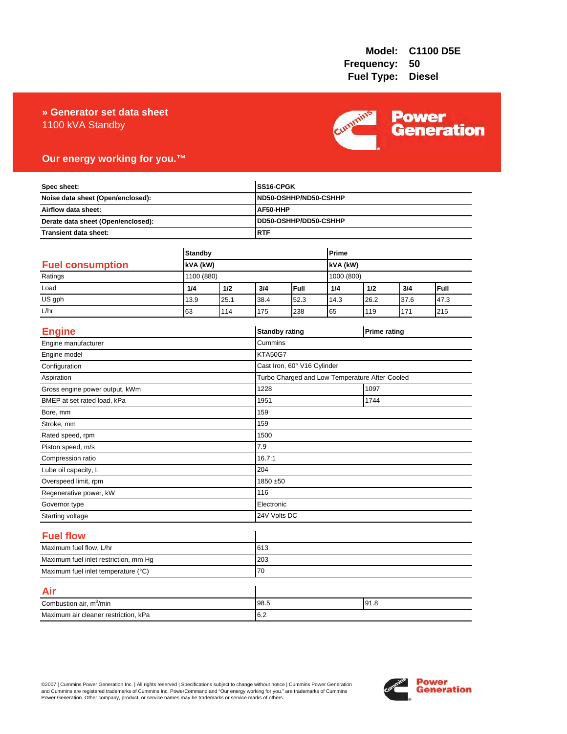### **» Generator set data sheet** 1100 kVA Standby



## **Our energy working for you.™**

| Spec sheet:<br>Noise data sheet (Open/enclosed):<br>Airflow data sheet:<br>Derate data sheet (Open/enclosed): |                |      |                | SS16-CPGK                                      |          |                     |      |      |
|---------------------------------------------------------------------------------------------------------------|----------------|------|----------------|------------------------------------------------|----------|---------------------|------|------|
|                                                                                                               |                |      |                | ND50-OSHHP/ND50-CSHHP                          |          |                     |      |      |
|                                                                                                               |                |      |                | AF50-HHP                                       |          |                     |      |      |
|                                                                                                               |                |      |                | DD50-OSHHP/DD50-CSHHP                          |          |                     |      |      |
| Transient data sheet:                                                                                         |                |      | <b>RTF</b>     |                                                |          |                     |      |      |
|                                                                                                               |                |      |                |                                                |          |                     |      |      |
|                                                                                                               | <b>Standby</b> |      |                | Prime                                          |          |                     |      |      |
| <b>Fuel consumption</b>                                                                                       | kVA (kW)       |      |                |                                                | kVA (kW) |                     |      |      |
| Ratings                                                                                                       | 1100 (880)     |      |                |                                                |          | 1000 (800)          |      |      |
| Load                                                                                                          | 1/4            | 1/2  | 3/4            | Full                                           | 1/4      | 1/2                 | 3/4  | Full |
| US gph                                                                                                        | 13.9           | 25.1 | 38.4           | 52.3                                           | 14.3     | 26.2                | 37.6 | 47.3 |
| L/hr                                                                                                          | 63             | 114  | 175            | 238                                            | 65       | 119                 | 171  | 215  |
| <b>Engine</b>                                                                                                 |                |      |                | <b>Standby rating</b>                          |          | <b>Prime rating</b> |      |      |
| Engine manufacturer                                                                                           |                |      | Cummins        |                                                |          |                     |      |      |
| Engine model                                                                                                  |                |      | <b>KTA50G7</b> |                                                |          |                     |      |      |
| Configuration                                                                                                 |                |      |                | Cast Iron, 60° V16 Cylinder                    |          |                     |      |      |
| Aspiration                                                                                                    |                |      |                | Turbo Charged and Low Temperature After-Cooled |          |                     |      |      |
| Gross engine power output, kWm                                                                                |                |      | 1228           | 1097                                           |          |                     |      |      |
| BMEP at set rated load, kPa                                                                                   |                |      | 1951           | 1744                                           |          |                     |      |      |
| Bore, mm                                                                                                      |                |      | 159            |                                                |          |                     |      |      |
| Stroke, mm                                                                                                    |                |      | 159            |                                                |          |                     |      |      |
| Rated speed, rpm                                                                                              |                |      | 1500           |                                                |          |                     |      |      |
| Piston speed, m/s                                                                                             |                |      | 7.9            |                                                |          |                     |      |      |
| Compression ratio                                                                                             |                |      | 16.7:1         |                                                |          |                     |      |      |
| Lube oil capacity, L                                                                                          |                |      | 204            |                                                |          |                     |      |      |
| Overspeed limit, rpm                                                                                          |                |      |                | 1850 ±50                                       |          |                     |      |      |
| Regenerative power, kW                                                                                        |                |      | 116            |                                                |          |                     |      |      |
| Governor type                                                                                                 |                |      |                | Electronic                                     |          |                     |      |      |
| Starting voltage                                                                                              |                |      |                | 24V Volts DC                                   |          |                     |      |      |
| <b>Fuel flow</b>                                                                                              |                |      |                |                                                |          |                     |      |      |
| Maximum fuel flow, L/hr                                                                                       |                |      | 613            |                                                |          |                     |      |      |
| Maximum fuel inlet restriction, mm Hg                                                                         |                |      | 203            |                                                |          |                     |      |      |
| Maximum fuel inlet temperature (°C)                                                                           |                |      | 70             |                                                |          |                     |      |      |
| Air                                                                                                           |                |      |                |                                                |          |                     |      |      |
| Combustion air, m <sup>3</sup> /min                                                                           |                |      | 98.5           | 91.8                                           |          |                     |      |      |
| Maximum air cleaner restriction, kPa                                                                          |                |      | 6.2            |                                                |          |                     |      |      |

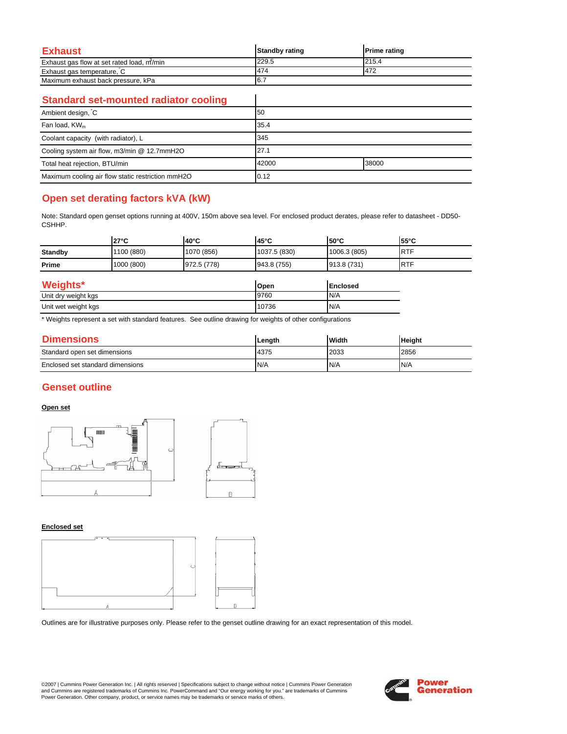| <b>Exhaust</b>                            | <b>Standby rating</b> | <b>Prime rating</b> |
|-------------------------------------------|-----------------------|---------------------|
| Exhaust gas flow at set rated load, m/min | 229.5                 | 215.4               |
| Exhaust gas temperature, C                | 474                   | 472                 |
| Maximum exhaust back pressure, kPa        | 16.7                  |                     |

 $\overline{\phantom{a}}$ 

### **Standard set-mounted radiator cooling**

| Ambient design, C                                 | 50    |       |
|---------------------------------------------------|-------|-------|
| Fan load, KW <sub>m</sub>                         | 35.4  |       |
| Coolant capacity (with radiator), L               | 345   |       |
| Cooling system air flow, m3/min @ 12.7mmH2O       | 27.1  |       |
| Total heat rejection, BTU/min                     | 42000 | 38000 |
| Maximum cooling air flow static restriction mmH2O | 0.12  |       |

# **Open set derating factors kVA (kW)**

Note: Standard open genset options running at 400V, 150m above sea level. For enclosed product derates, please refer to datasheet - DD50- CSHHP.

|                | $27^{\circ}$ C | $40^{\circ}$ C | $45^{\circ}$ C | $50^{\circ}$ C  | 55°C       |
|----------------|----------------|----------------|----------------|-----------------|------------|
| <b>Standby</b> | 1100 (880)     | 1070 (856)     | 1037.5 (830)   | 1006.3 (805)    | <b>RTF</b> |
| Prime          | 1000 (800)     | 972.5 (778)    | 943.8 (755)    | 913.8 (731)     | <b>RTF</b> |
| Weights*       |                |                | Open           | <b>Enclosed</b> |            |

| 1101                | וושטעו | <b>IEII</b> UUSEU |
|---------------------|--------|-------------------|
| Unit dry weight kgs | 9760   | N/A               |
| Unit wet weight kgs | 10736  | N/A               |

\* Weights represent a set with standard features. See outline drawing for weights of other configurations

| <b>Dimensions</b>                | Length | Width | <b>Height</b> |
|----------------------------------|--------|-------|---------------|
| Standard open set dimensions     | 4375   | 2033  | 2856          |
| Enclosed set standard dimensions | N/A    | N/A   | N/A           |

## **Genset outline**

### **Open set**



#### **Enclosed set**



Outlines are for illustrative purposes only. Please refer to the genset outline drawing for an exact representation of this model.

©2007 | Cummins Power Generation Inc. | All rights reserved | Specifications subject to change without notice | Cummins Power Generation and Cummins are registered trademarks of Cummins Inc. PowerCommand and "Our energy working for you." are trademarks of Cummins<br>Power Generation. Other company, product, or service names may be trademarks or service marks o